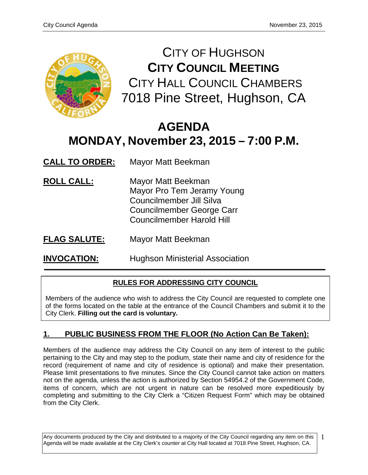

CITY OF HUGHSON **CITY COUNCIL MEETING** CITY HALL COUNCIL CHAMBERS 7018 Pine Street, Hughson, CA

# **AGENDA MONDAY, November 23, 2015 – 7:00 P.M.**

**CALL TO ORDER:** Mayor Matt Beekman

- **ROLL CALL:** Mayor Matt Beekman Mayor Pro Tem Jeramy Young Councilmember Jill Silva Councilmember George Carr Councilmember Harold Hill
- **FLAG SALUTE:** Mayor Matt Beekman
- **INVOCATION:** Hughson Ministerial Association

## **RULES FOR ADDRESSING CITY COUNCIL**

Members of the audience who wish to address the City Council are requested to complete one of the forms located on the table at the entrance of the Council Chambers and submit it to the City Clerk. **Filling out the card is voluntary.**

## **1. PUBLIC BUSINESS FROM THE FLOOR (No Action Can Be Taken):**

Members of the audience may address the City Council on any item of interest to the public pertaining to the City and may step to the podium, state their name and city of residence for the record (requirement of name and city of residence is optional) and make their presentation. Please limit presentations to five minutes. Since the City Council cannot take action on matters not on the agenda, unless the action is authorized by Section 54954.2 of the Government Code, items of concern, which are not urgent in nature can be resolved more expeditiously by completing and submitting to the City Clerk a "Citizen Request Form" which may be obtained from the City Clerk.

Any documents produced by the City and distributed to a majority of the City Council regarding any item on this Agenda will be made available at the City Clerk's counter at City Hall located at 7018 Pine Street, Hughson, CA. 1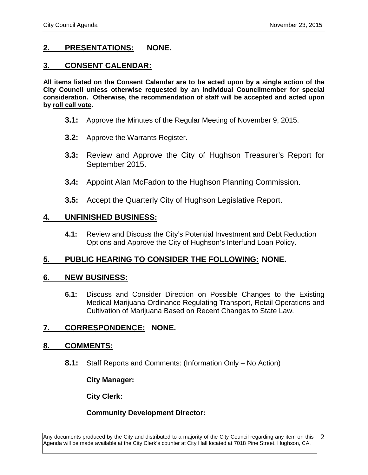## **2. PRESENTATIONS: NONE.**

## **3. CONSENT CALENDAR:**

**All items listed on the Consent Calendar are to be acted upon by a single action of the City Council unless otherwise requested by an individual Councilmember for special consideration. Otherwise, the recommendation of staff will be accepted and acted upon by roll call vote.**

- **3.1:** Approve the Minutes of the Regular Meeting of November 9, 2015.
- **3.2:** Approve the Warrants Register.
- **3.3:** Review and Approve the City of Hughson Treasurer's Report for September 2015.
- **3.4:** Appoint Alan McFadon to the Hughson Planning Commission.
- **3.5:** Accept the Quarterly City of Hughson Legislative Report.

## **4. UNFINISHED BUSINESS:**

**4.1:** Review and Discuss the City's Potential Investment and Debt Reduction Options and Approve the City of Hughson's Interfund Loan Policy.

## **5. PUBLIC HEARING TO CONSIDER THE FOLLOWING: NONE.**

#### **6. NEW BUSINESS:**

**6.1:** Discuss and Consider Direction on Possible Changes to the Existing Medical Marijuana Ordinance Regulating Transport, Retail Operations and Cultivation of Marijuana Based on Recent Changes to State Law.

## **7. CORRESPONDENCE: NONE.**

## **8. COMMENTS:**

**8.1:** Staff Reports and Comments: (Information Only – No Action)

#### **City Manager:**

**City Clerk:**

#### **Community Development Director:**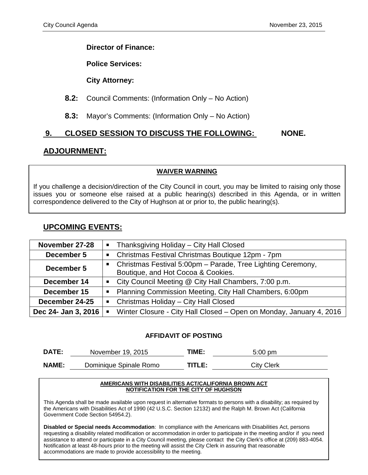#### **Director of Finance:**

**Police Services:**

#### **City Attorney:**

### **8.2:** Council Comments: (Information Only – No Action)

**8.3:** Mayor's Comments: (Information Only – No Action)

## **9. CLOSED SESSION TO DISCUSS THE FOLLOWING: NONE.**

## **ADJOURNMENT:**

#### **WAIVER WARNING**

If you challenge a decision/direction of the City Council in court, you may be limited to raising only those issues you or someone else raised at a public hearing(s) described in this Agenda, or in written correspondence delivered to the City of Hughson at or prior to, the public hearing(s).

## **UPCOMING EVENTS:**

| November 27-28      |                                                                          | • Thanksgiving Holiday – City Hall Closed                   |  |  |
|---------------------|--------------------------------------------------------------------------|-------------------------------------------------------------|--|--|
| December 5          | п                                                                        | Christmas Festival Christmas Boutique 12pm - 7pm            |  |  |
| December 5          | $\blacksquare$                                                           | Christmas Festival 5:00pm - Parade, Tree Lighting Ceremony, |  |  |
|                     |                                                                          | Boutique, and Hot Cocoa & Cookies.                          |  |  |
| December 14         | $\blacksquare$                                                           | City Council Meeting @ City Hall Chambers, 7:00 p.m.        |  |  |
| December 15         | Ξ                                                                        | Planning Commission Meeting, City Hall Chambers, 6:00pm     |  |  |
| December 24-25      | Christmas Holiday - City Hall Closed<br>$\blacksquare$                   |                                                             |  |  |
| Dec 24- Jan 3, 2016 | Winter Closure - City Hall Closed – Open on Monday, January 4, 2016<br>п |                                                             |  |  |

#### **AFFIDAVIT OF POSTING**

| <b>DATE:</b> | November 19, 2015      | TIME:  | $5:00$ pm         |
|--------------|------------------------|--------|-------------------|
| <b>NAME:</b> | Dominique Spinale Romo | TITLE: | <b>City Clerk</b> |

#### **AMERICANS WITH DISABILITIES ACT/CALIFORNIA BROWN ACT NOTIFICATION FOR THE CITY OF HUGHSON**

This Agenda shall be made available upon request in alternative formats to persons with a disability; as required by the Americans with Disabilities Act of 1990 (42 U.S.C. Section 12132) and the Ralph M. Brown Act (California Government Code Section 54954.2).

assistance to attend or participate in a City Council meeting, please contact the City Clerk's office at (209) 883-4054. abordance to discribe at the City Clerkish in a City Clerk in assurance at 7018 Pine Street, Hughson, Case<br>Notification at least 48-hours prior to the meeting will assist the City Clerk in assuring that reasonable **Disabled or Special needs Accommodation**: In compliance with the Americans with Disabilities Act, persons requesting a disability related modification or accommodation in order to participate in the meeting and/or if you need accommodations are made to provide accessibility to the meeting.